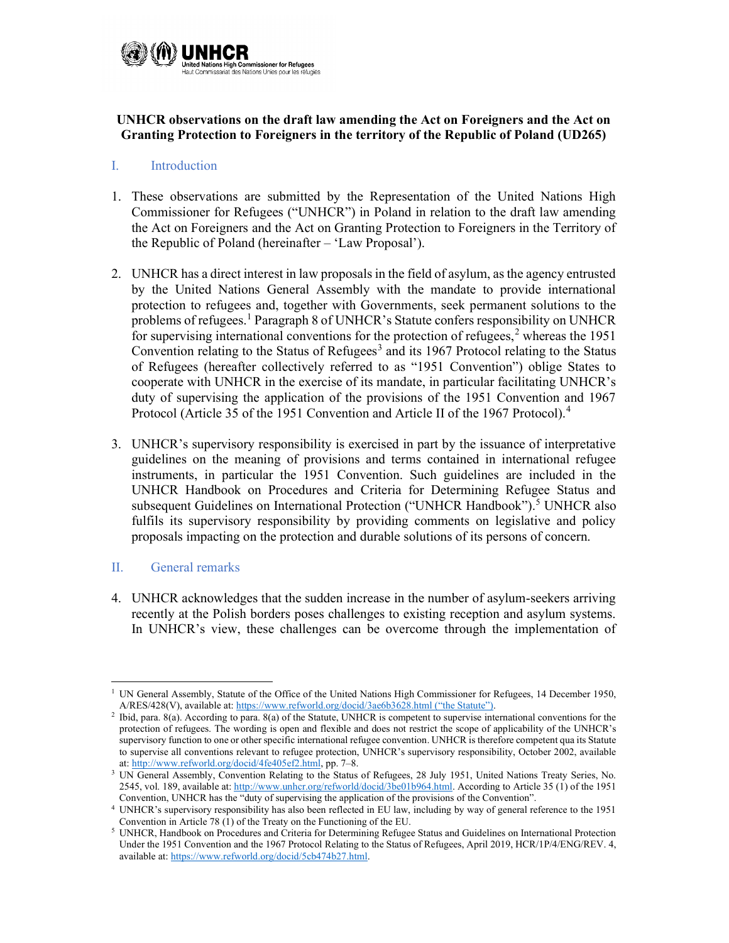

# UNHCR observations on the draft law amending the Act on Foreigners and the Act on Granting Protection to Foreigners in the territory of the Republic of Poland (UD265)

### I. Introduction

- 1. These observations are submitted by the Representation of the United Nations High Commissioner for Refugees ("UNHCR") in Poland in relation to the draft law amending the Act on Foreigners and the Act on Granting Protection to Foreigners in the Territory of the Republic of Poland (hereinafter – 'Law Proposal').
- 2. UNHCR has a direct interest in law proposals in the field of asylum, as the agency entrusted by the United Nations General Assembly with the mandate to provide international protection to refugees and, together with Governments, seek permanent solutions to the problems of refugees.<sup>1</sup> Paragraph 8 of UNHCR's Statute confers responsibility on UNHCR for supervising international conventions for the protection of refugees,<sup>2</sup> whereas the 1951 Convention relating to the Status of Refugees<sup>3</sup> and its 1967 Protocol relating to the Status of Refugees (hereafter collectively referred to as "1951 Convention") oblige States to cooperate with UNHCR in the exercise of its mandate, in particular facilitating UNHCR's duty of supervising the application of the provisions of the 1951 Convention and 1967 Protocol (Article 35 of the 1951 Convention and Article II of the 1967 Protocol).<sup>4</sup>
- 3. UNHCR's supervisory responsibility is exercised in part by the issuance of interpretative guidelines on the meaning of provisions and terms contained in international refugee instruments, in particular the 1951 Convention. Such guidelines are included in the UNHCR Handbook on Procedures and Criteria for Determining Refugee Status and subsequent Guidelines on International Protection ("UNHCR Handbook").<sup>5</sup> UNHCR also fulfils its supervisory responsibility by providing comments on legislative and policy proposals impacting on the protection and durable solutions of its persons of concern.

# II. General remarks

4. UNHCR acknowledges that the sudden increase in the number of asylum-seekers arriving recently at the Polish borders poses challenges to existing reception and asylum systems. In UNHCR's view, these challenges can be overcome through the implementation of

<sup>&</sup>lt;sup>1</sup> UN General Assembly, Statute of the Office of the United Nations High Commissioner for Refugees, 14 December 1950, A/RES/428(V), available at: https://www.refworld.org/docid/3ae6b3628.html ("the Statute").

<sup>&</sup>lt;sup>2</sup> Ibid, para. 8(a). According to para. 8(a) of the Statute, UNHCR is competent to supervise international conventions for the protection of refugees. The wording is open and flexible and does not restrict the scope of applicability of the UNHCR's supervisory function to one or other specific international refugee convention. UNHCR is therefore competent qua its Statute to supervise all conventions relevant to refugee protection, UNHCR's supervisory responsibility, October 2002, available at: http://www.refworld.org/docid/4fe405ef2.html, pp. 7–8.

<sup>&</sup>lt;sup>3</sup> UN General Assembly, Convention Relating to the Status of Refugees, 28 July 1951, United Nations Treaty Series, No. 2545, vol. 189, available at: http://www.unhcr.org/refworld/docid/3be01b964.html. According to Article 35 (1) of the 1951 Convention, UNHCR has the "duty of supervising the application of the provisions of the Convention".

<sup>4</sup> UNHCR's supervisory responsibility has also been reflected in EU law, including by way of general reference to the 1951 Convention in Article 78 (1) of the Treaty on the Functioning of the EU.

<sup>&</sup>lt;sup>5</sup> UNHCR, Handbook on Procedures and Criteria for Determining Refugee Status and Guidelines on International Protection Under the 1951 Convention and the 1967 Protocol Relating to the Status of Refugees, April 2019, HCR/1P/4/ENG/REV. 4, available at: https://www.refworld.org/docid/5cb474b27.html.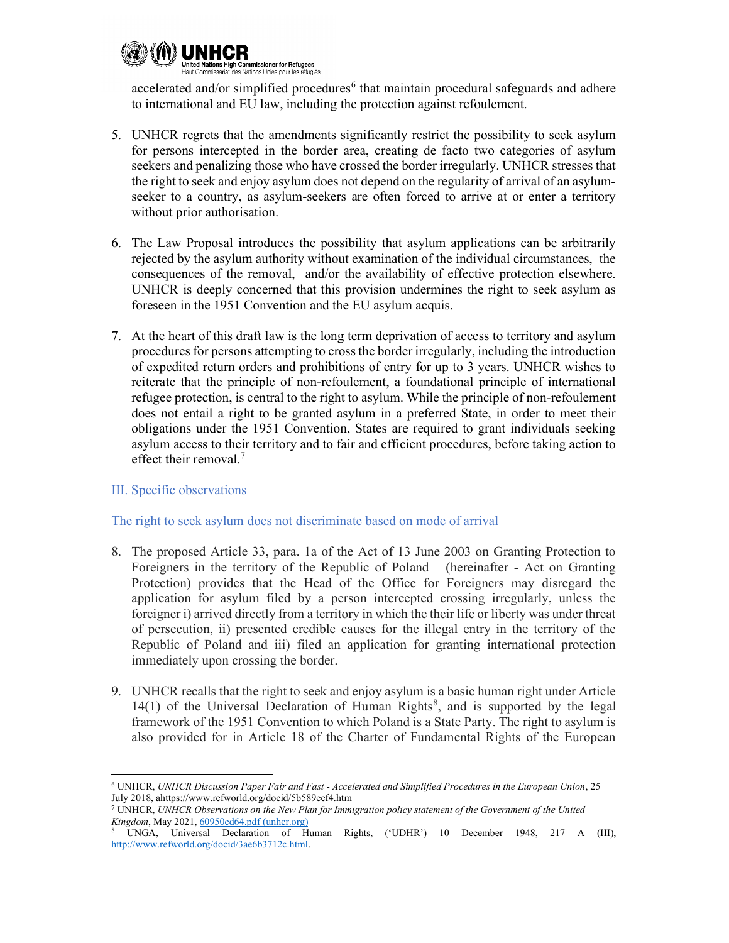

accelerated and/or simplified procedures<sup>6</sup> that maintain procedural safeguards and adhere to international and EU law, including the protection against refoulement.

- 5. UNHCR regrets that the amendments significantly restrict the possibility to seek asylum for persons intercepted in the border area, creating de facto two categories of asylum seekers and penalizing those who have crossed the border irregularly. UNHCR stresses that the right to seek and enjoy asylum does not depend on the regularity of arrival of an asylumseeker to a country, as asylum-seekers are often forced to arrive at or enter a territory without prior authorisation.
- 6. The Law Proposal introduces the possibility that asylum applications can be arbitrarily rejected by the asylum authority without examination of the individual circumstances, the consequences of the removal, and/or the availability of effective protection elsewhere. UNHCR is deeply concerned that this provision undermines the right to seek asylum as foreseen in the 1951 Convention and the EU asylum acquis.
- 7. At the heart of this draft law is the long term deprivation of access to territory and asylum procedures for persons attempting to cross the border irregularly, including the introduction of expedited return orders and prohibitions of entry for up to 3 years. UNHCR wishes to reiterate that the principle of non-refoulement, a foundational principle of international refugee protection, is central to the right to asylum. While the principle of non-refoulement does not entail a right to be granted asylum in a preferred State, in order to meet their obligations under the 1951 Convention, States are required to grant individuals seeking asylum access to their territory and to fair and efficient procedures, before taking action to effect their removal.<sup>7</sup>

# III. Specific observations

# The right to seek asylum does not discriminate based on mode of arrival

- 8. The proposed Article 33, para. 1a of the Act of 13 June 2003 on Granting Protection to Foreigners in the territory of the Republic of Poland (hereinafter - Act on Granting Protection) provides that the Head of the Office for Foreigners may disregard the application for asylum filed by a person intercepted crossing irregularly, unless the foreigner i) arrived directly from a territory in which the their life or liberty was under threat of persecution, ii) presented credible causes for the illegal entry in the territory of the Republic of Poland and iii) filed an application for granting international protection immediately upon crossing the border.
- 9. UNHCR recalls that the right to seek and enjoy asylum is a basic human right under Article  $14(1)$  of the Universal Declaration of Human Rights<sup>8</sup>, and is supported by the legal framework of the 1951 Convention to which Poland is a State Party. The right to asylum is also provided for in Article 18 of the Charter of Fundamental Rights of the European

<sup>6</sup> UNHCR, UNHCR Discussion Paper Fair and Fast - Accelerated and Simplified Procedures in the European Union, 25 July 2018, ahttps://www.refworld.org/docid/5b589eef4.htm

<sup>7</sup> UNHCR, UNHCR Observations on the New Plan for Immigration policy statement of the Government of the United Kingdom, May 2021, 60950ed64.pdf (unhcr.org)

<sup>8</sup> UNGA, Universal Declaration of Human Rights, ('UDHR') 10 December 1948, 217 A (III), http://www.refworld.org/docid/3ae6b3712c.html.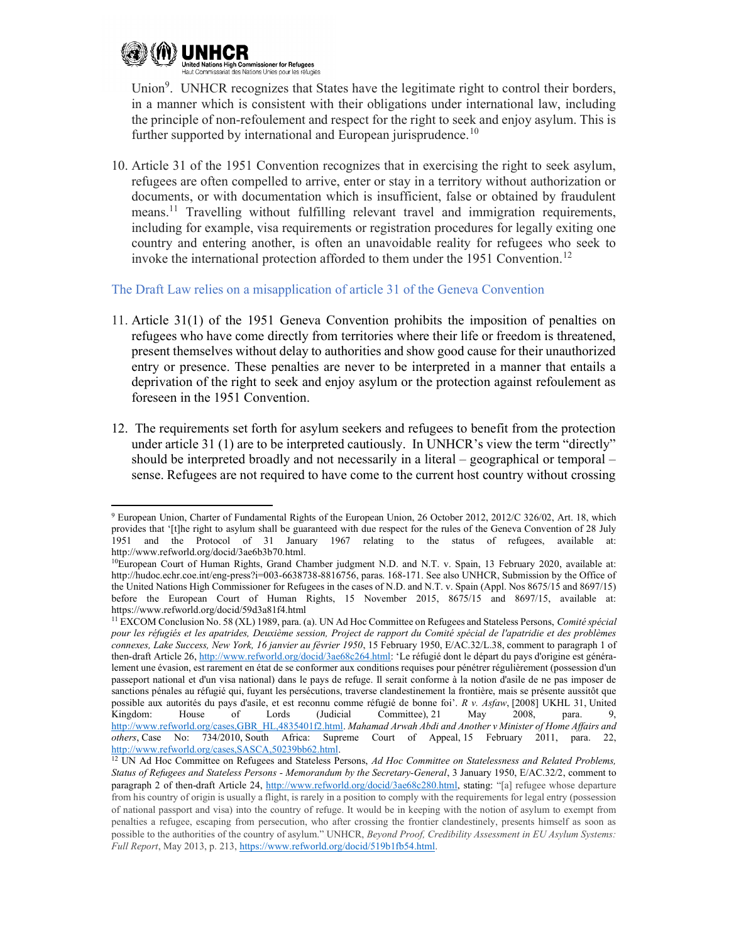

Union<sup>9</sup>. UNHCR recognizes that States have the legitimate right to control their borders, in a manner which is consistent with their obligations under international law, including the principle of non-refoulement and respect for the right to seek and enjoy asylum. This is further supported by international and European jurisprudence.<sup>10</sup>

10. Article 31 of the 1951 Convention recognizes that in exercising the right to seek asylum, refugees are often compelled to arrive, enter or stay in a territory without authorization or documents, or with documentation which is insufficient, false or obtained by fraudulent means.<sup>11</sup> Travelling without fulfilling relevant travel and immigration requirements, including for example, visa requirements or registration procedures for legally exiting one country and entering another, is often an unavoidable reality for refugees who seek to invoke the international protection afforded to them under the 1951 Convention.<sup>12</sup>

The Draft Law relies on a misapplication of article 31 of the Geneva Convention

- 11. Article 31(1) of the 1951 Geneva Convention prohibits the imposition of penalties on refugees who have come directly from territories where their life or freedom is threatened, present themselves without delay to authorities and show good cause for their unauthorized entry or presence. These penalties are never to be interpreted in a manner that entails a deprivation of the right to seek and enjoy asylum or the protection against refoulement as foreseen in the 1951 Convention.
- 12. The requirements set forth for asylum seekers and refugees to benefit from the protection under article 31 (1) are to be interpreted cautiously. In UNHCR's view the term "directly" should be interpreted broadly and not necessarily in a literal – geographical or temporal – sense. Refugees are not required to have come to the current host country without crossing

<sup>&</sup>lt;sup>9</sup> European Union, Charter of Fundamental Rights of the European Union, 26 October 2012, 2012/C 326/02, Art. 18, which provides that '[t]he right to asylum shall be guaranteed with due respect for the rules of the Geneva Convention of 28 July 1951 and the Protocol of 31 January 1967 relating to the status of refugees, available at: http://www.refworld.org/docid/3ae6b3b70.html.

<sup>&</sup>lt;sup>10</sup>European Court of Human Rights, Grand Chamber judgment N.D. and N.T. v. Spain, 13 February 2020, available at: http://hudoc.echr.coe.int/eng-press?i=003-6638738-8816756, paras. 168-171. See also UNHCR, Submission by the Office of the United Nations High Commissioner for Refugees in the cases of N.D. and N.T. v. Spain (Appl. Nos 8675/15 and 8697/15) before the European Court of Human Rights, 15 November 2015, 8675/15 and 8697/15, available at: https://www.refworld.org/docid/59d3a81f4.html

<sup>&</sup>lt;sup>11</sup> EXCOM Conclusion No. 58 (XL) 1989, para. (a). UN Ad Hoc Committee on Refugees and Stateless Persons, Comité spécial pour les réfugiés et les apatrides, Deuxième session, Project de rapport du Comité spécial de l'apatridie et des problèmes connexes, Lake Success, New York, 16 janvier au février 1950, 15 February 1950, E/AC.32/L.38, comment to paragraph 1 of then-draft Article 26, http://www.refworld.org/docid/3ae68c264.html: 'Le réfugié dont le départ du pays d'origine est généralement une évasion, est rarement en état de se conformer aux conditions requises pour pénétrer régulièrement (possession d'un passeport national et d'un visa national) dans le pays de refuge. Il serait conforme à la notion d'asile de ne pas imposer de sanctions pénales au réfugié qui, fuyant les persécutions, traverse clandestinement la frontière, mais se présente aussitôt que possible aux autorités du pays d'asile, et est reconnu comme réfugié de bonne foi'. R v. Asfaw, [2008] UKHL 31, United Kingdom: House of Lords (Judicial Committee), 21 May 2008, para. 9, Kingdom: House of Lords (Judicial Committee), 21 May 2008, para. 9, http://www.refworld.org/cases,GBR\_HL,4835401f2.html. Mahamad Arwah Abdi and Another v Minister of Home Affairs and others, Case No: 734/2010, South Africa: Supreme Court of Appeal, 15 February 2011, para. 22, http://www.refworld.org/cases,SASCA,50239bb62.html.

<sup>&</sup>lt;sup>12</sup> UN Ad Hoc Committee on Refugees and Stateless Persons, Ad Hoc Committee on Statelessness and Related Problems, Status of Refugees and Stateless Persons - Memorandum by the Secretary-General, 3 January 1950, E/AC.32/2, comment to paragraph 2 of then-draft Article 24, http://www.refworld.org/docid/3ae68c280.html, stating: "[a] refugee whose departure from his country of origin is usually a flight, is rarely in a position to comply with the requirements for legal entry (possession of national passport and visa) into the country of refuge. It would be in keeping with the notion of asylum to exempt from penalties a refugee, escaping from persecution, who after crossing the frontier clandestinely, presents himself as soon as possible to the authorities of the country of asylum." UNHCR, Beyond Proof, Credibility Assessment in EU Asylum Systems: Full Report, May 2013, p. 213, https://www.refworld.org/docid/519b1fb54.html.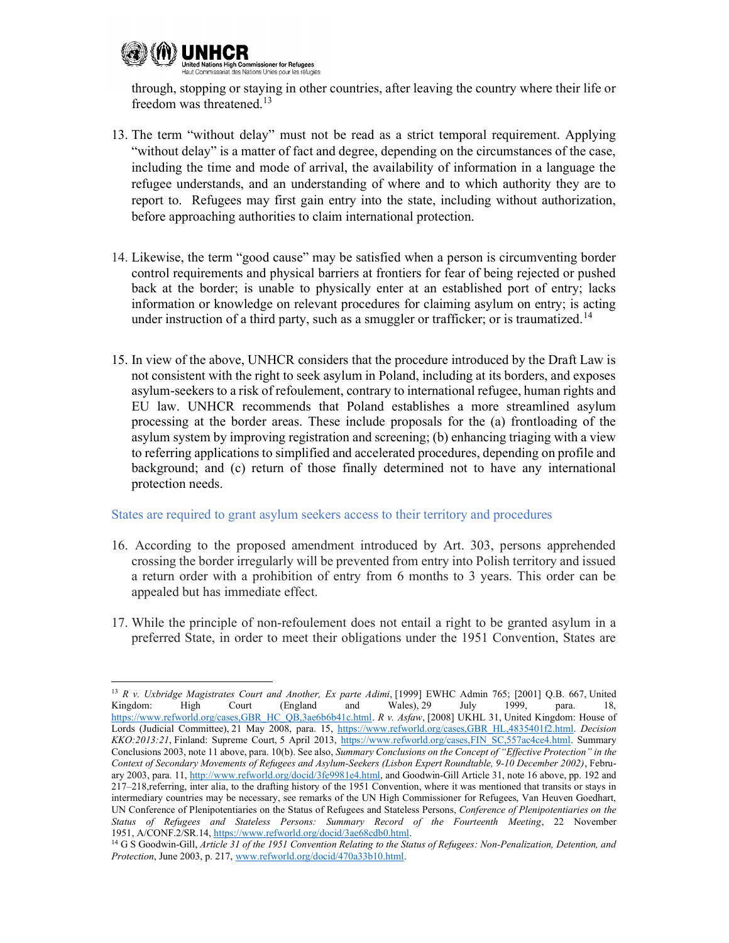

through, stopping or staying in other countries, after leaving the country where their life or freedom was threatened.<sup>13</sup>

- 13. The term "without delay" must not be read as a strict temporal requirement. Applying "without delay" is a matter of fact and degree, depending on the circumstances of the case, including the time and mode of arrival, the availability of information in a language the refugee understands, and an understanding of where and to which authority they are to report to. Refugees may first gain entry into the state, including without authorization, before approaching authorities to claim international protection.
- 14. Likewise, the term "good cause" may be satisfied when a person is circumventing border control requirements and physical barriers at frontiers for fear of being rejected or pushed back at the border; is unable to physically enter at an established port of entry; lacks information or knowledge on relevant procedures for claiming asylum on entry; is acting under instruction of a third party, such as a smuggler or trafficker; or is traumatized.<sup>14</sup>
- 15. In view of the above, UNHCR considers that the procedure introduced by the Draft Law is not consistent with the right to seek asylum in Poland, including at its borders, and exposes asylum-seekers to a risk of refoulement, contrary to international refugee, human rights and EU law. UNHCR recommends that Poland establishes a more streamlined asylum processing at the border areas. These include proposals for the (a) frontloading of the asylum system by improving registration and screening; (b) enhancing triaging with a view to referring applications to simplified and accelerated procedures, depending on profile and background; and (c) return of those finally determined not to have any international protection needs.

### States are required to grant asylum seekers access to their territory and procedures

- 16. According to the proposed amendment introduced by Art. 303, persons apprehended crossing the border irregularly will be prevented from entry into Polish territory and issued a return order with a prohibition of entry from 6 months to 3 years. This order can be appealed but has immediate effect.
- 17. While the principle of non-refoulement does not entail a right to be granted asylum in a preferred State, in order to meet their obligations under the 1951 Convention, States are

<sup>&</sup>lt;sup>13</sup> R v. Uxbridge Magistrates Court and Another, Ex parte Adimi, [1999] EWHC Admin 765; [2001] Q.B. 667, United Kingdom: High Court (England and Wales), 29 July 1999, para. 18, Kingdom: High Court (England and Wales), 29 July 1999, para. 18, https://www.refworld.org/cases,GBR\_HC\_QB,3ae6b6b41c.html. R v. Asfaw, [2008] UKHL 31, United Kingdom: House of Lords (Judicial Committee), 21 May 2008, para. 15, https://www.refworld.org/cases,GBR\_HL,4835401f2.html. Decision KKO:2013:21, Finland: Supreme Court, 5 April 2013, https://www.refworld.org/cases,FIN\_SC,557ac4ce4.html. Summary Conclusions 2003, note 11 above, para. 10(b). See also, Summary Conclusions on the Concept of "Effective Protection" in the Context of Secondary Movements of Refugees and Asylum-Seekers (Lisbon Expert Roundtable, 9-10 December 2002), February 2003, para. 11, http://www.refworld.org/docid/3fe9981e4.html, and Goodwin-Gill Article 31, note 16 above, pp. 192 and 217–218,referring, inter alia, to the drafting history of the 1951 Convention, where it was mentioned that transits or stays in intermediary countries may be necessary, see remarks of the UN High Commissioner for Refugees, Van Heuven Goedhart, UN Conference of Plenipotentiaries on the Status of Refugees and Stateless Persons, Conference of Plenipotentiaries on the Status of Refugees and Stateless Persons: Summary Record of the Fourteenth Meeting, 22 November 1951, A/CONF.2/SR.14, https://www.refworld.org/docid/3ae68cdb0.html.

<sup>&</sup>lt;sup>14</sup> G S Goodwin-Gill, Article 31 of the 1951 Convention Relating to the Status of Refugees: Non-Penalization, Detention, and Protection, June 2003, p. 217, www.refworld.org/docid/470a33b10.html.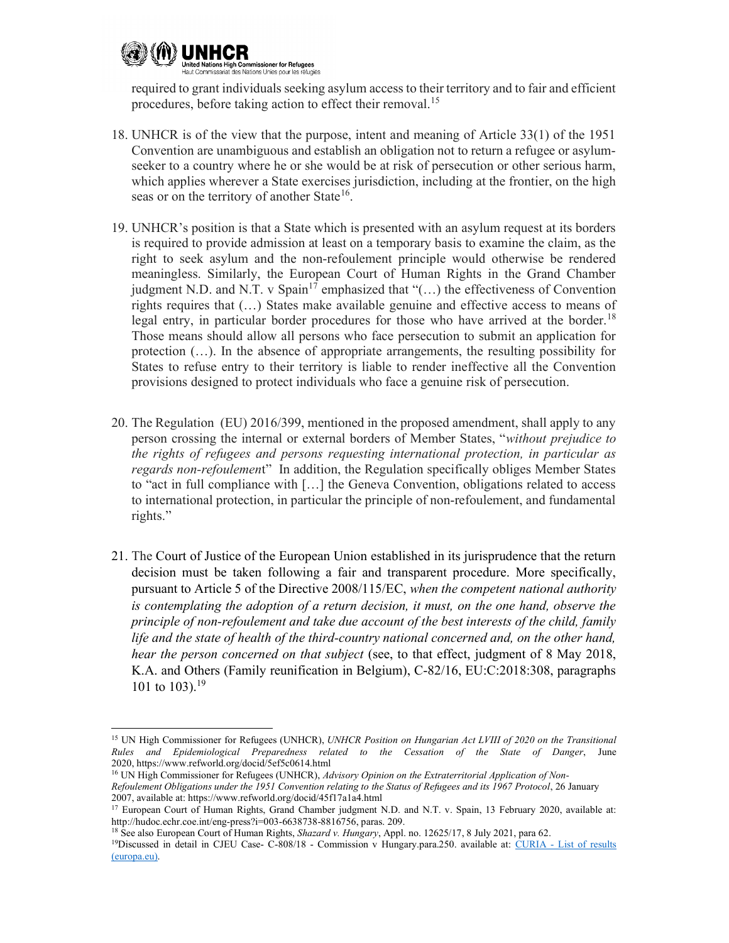

required to grant individuals seeking asylum access to their territory and to fair and efficient procedures, before taking action to effect their removal.<sup>15</sup>

- 18. UNHCR is of the view that the purpose, intent and meaning of Article 33(1) of the 1951 Convention are unambiguous and establish an obligation not to return a refugee or asylumseeker to a country where he or she would be at risk of persecution or other serious harm, which applies wherever a State exercises jurisdiction, including at the frontier, on the high seas or on the territory of another State<sup>16</sup>.
- 19. UNHCR's position is that a State which is presented with an asylum request at its borders is required to provide admission at least on a temporary basis to examine the claim, as the right to seek asylum and the non-refoulement principle would otherwise be rendered meaningless. Similarly, the European Court of Human Rights in the Grand Chamber judgment N.D. and N.T. v Spain<sup>17</sup> emphasized that " $(...)$  the effectiveness of Convention rights requires that (…) States make available genuine and effective access to means of legal entry, in particular border procedures for those who have arrived at the border.<sup>18</sup> Those means should allow all persons who face persecution to submit an application for protection (…). In the absence of appropriate arrangements, the resulting possibility for States to refuse entry to their territory is liable to render ineffective all the Convention provisions designed to protect individuals who face a genuine risk of persecution.
- 20. The Regulation (EU) 2016/399, mentioned in the proposed amendment, shall apply to any person crossing the internal or external borders of Member States, "without prejudice to the rights of refugees and persons requesting international protection, in particular as regards non-refoulement" In addition, the Regulation specifically obliges Member States to "act in full compliance with […] the Geneva Convention, obligations related to access to international protection, in particular the principle of non-refoulement, and fundamental rights."
- 21. The Court of Justice of the European Union established in its jurisprudence that the return decision must be taken following a fair and transparent procedure. More specifically, pursuant to Article 5 of the Directive 2008/115/EC, when the competent national authority is contemplating the adoption of a return decision, it must, on the one hand, observe the principle of non-refoulement and take due account of the best interests of the child, family life and the state of health of the third-country national concerned and, on the other hand, hear the person concerned on that subject (see, to that effect, judgment of 8 May 2018, K.A. and Others (Family reunification in Belgium), C-82/16, EU:C:2018:308, paragraphs 101 to 103).<sup>19</sup>

<sup>&</sup>lt;sup>15</sup> UN High Commissioner for Refugees (UNHCR), UNHCR Position on Hungarian Act LVIII of 2020 on the Transitional Rules and Epidemiological Preparedness related to the Cessation of the State of Danger, June 2020, https://www.refworld.org/docid/5ef5c0614.html

<sup>&</sup>lt;sup>16</sup> UN High Commissioner for Refugees (UNHCR), Advisory Opinion on the Extraterritorial Application of Non-Refoulement Obligations under the 1951 Convention relating to the Status of Refugees and its 1967 Protocol, 26 January 2007, available at: https://www.refworld.org/docid/45f17a1a4.html

<sup>&</sup>lt;sup>17</sup> European Court of Human Rights, Grand Chamber judgment N.D. and N.T. v. Spain, 13 February 2020, available at: http://hudoc.echr.coe.int/eng-press?i=003-6638738-8816756, paras. 209.

<sup>&</sup>lt;sup>18</sup> See also European Court of Human Rights, Shazard v. Hungary, Appl. no. 12625/17, 8 July 2021, para 62.

<sup>&</sup>lt;sup>19</sup>Discussed in detail in CJEU Case- C-808/18 - Commission v Hungary.para.250. available at: CURIA - List of results (europa.eu).